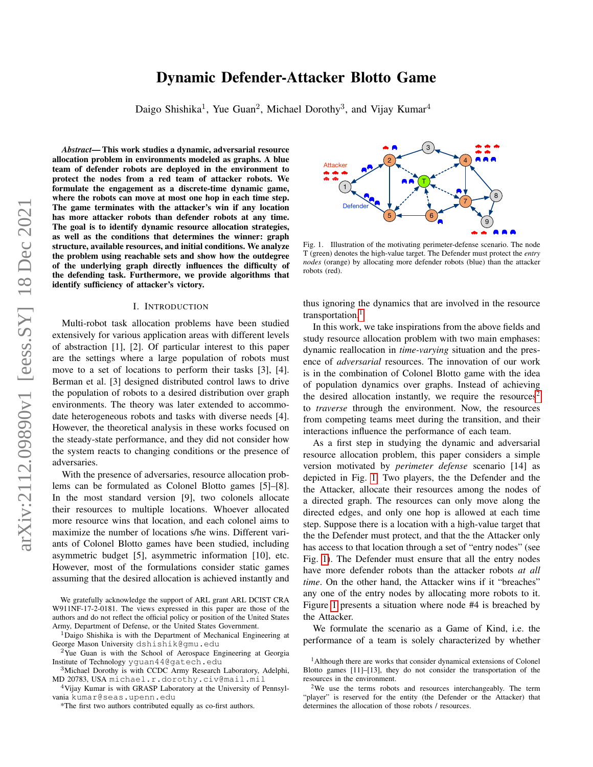# Dynamic Defender-Attacker Blotto Game

Daigo Shishika<sup>1</sup>, Yue Guan<sup>2</sup>, Michael Dorothy<sup>3</sup>, and Vijay Kumar<sup>4</sup>

<span id="page-0-3"></span>*Abstract*— This work studies a dynamic, adversarial resource allocation problem in environments modeled as graphs. A blue team of defender robots are deployed in the environment to protect the nodes from a red team of attacker robots. We formulate the engagement as a discrete-time dynamic game, where the robots can move at most one hop in each time step. The game terminates with the attacker's win if any location has more attacker robots than defender robots at any time. The goal is to identify dynamic resource allocation strategies, as well as the conditions that determines the winner: graph structure, available resources, and initial conditions. We analyze the problem using reachable sets and show how the outdegree of the underlying graph directly influences the difficulty of the defending task. Furthermore, we provide algorithms that identify sufficiency of attacker's victory.

#### I. INTRODUCTION

Multi-robot task allocation problems have been studied extensively for various application areas with different levels of abstraction [1], [2]. Of particular interest to this paper are the settings where a large population of robots must move to a set of locations to perform their tasks [3], [4]. Berman et al. [3] designed distributed control laws to drive the population of robots to a desired distribution over graph environments. The theory was later extended to accommodate heterogeneous robots and tasks with diverse needs [4]. However, the theoretical analysis in these works focused on the steady-state performance, and they did not consider how the system reacts to changing conditions or the presence of adversaries.

With the presence of adversaries, resource allocation problems can be formulated as Colonel Blotto games [5]–[8]. In the most standard version [9], two colonels allocate their resources to multiple locations. Whoever allocated more resource wins that location, and each colonel aims to maximize the number of locations s/he wins. Different variants of Colonel Blotto games have been studied, including asymmetric budget [5], asymmetric information [10], etc. However, most of the formulations consider static games assuming that the desired allocation is achieved instantly and

We gratefully acknowledge the support of ARL grant ARL DCIST CRA W911NF-17-2-0181. The views expressed in this paper are those of the authors and do not reflect the official policy or position of the United States Army, Department of Defense, or the United States Government.

<sup>1</sup>Daigo Shishika is with the Department of Mechanical Engineering at George Mason University dshishik@gmu.edu

<sup>4</sup>Vijay Kumar is with GRASP Laboratory at the University of Pennsylvania kumar@seas.upenn.edu



<span id="page-0-2"></span>Fig. 1. Illustration of the motivating perimeter-defense scenario. The node T (green) denotes the high-value target. The Defender must protect the *entry nodes* (orange) by allocating more defender robots (blue) than the attacker robots (red).

thus ignoring the dynamics that are involved in the resource transportation.<sup>[1](#page-0-0)</sup>

In this work, we take inspirations from the above fields and study resource allocation problem with two main emphases: dynamic reallocation in *time-varying* situation and the presence of *adversarial* resources. The innovation of our work is in the combination of Colonel Blotto game with the idea of population dynamics over graphs. Instead of achieving the desired allocation instantly, we require the resources<sup>[2](#page-0-1)</sup> to *traverse* through the environment. Now, the resources from competing teams meet during the transition, and their interactions influence the performance of each team.

As a first step in studying the dynamic and adversarial resource allocation problem, this paper considers a simple version motivated by *perimeter defense* scenario [14] as depicted in Fig. [1.](#page-0-2) Two players, the the Defender and the the Attacker, allocate their resources among the nodes of a directed graph. The resources can only move along the directed edges, and only one hop is allowed at each time step. Suppose there is a location with a high-value target that the the Defender must protect, and that the the Attacker only has access to that location through a set of "entry nodes" (see Fig. [1\)](#page-0-2). The Defender must ensure that all the entry nodes have more defender robots than the attacker robots *at all time*. On the other hand, the Attacker wins if it "breaches" any one of the entry nodes by allocating more robots to it. Figure [1](#page-0-2) presents a situation where node #4 is breached by the Attacker.

We formulate the scenario as a Game of Kind, i.e. the performance of a team is solely characterized by whether

<sup>&</sup>lt;sup>2</sup>Yue Guan is with the School of Aerospace Engineering at Georgia Institute of Technology yguan44@gatech.edu

<sup>&</sup>lt;sup>3</sup>Michael Dorothy is with CCDC Army Research Laboratory, Adelphi, MD 20783, USA michael.r.dorothy.civ@mail.mil

<sup>\*</sup>The first two authors contributed equally as co-first authors.

<span id="page-0-0"></span><sup>&</sup>lt;sup>1</sup>Although there are works that consider dynamical extensions of Colonel Blotto games [11]–[13], they do not consider the transportation of the resources in the environment.

<span id="page-0-1"></span><sup>&</sup>lt;sup>2</sup>We use the terms robots and resources interchangeably. The term "player" is reserved for the entity (the Defender or the Attacker) that determines the allocation of those robots / resources.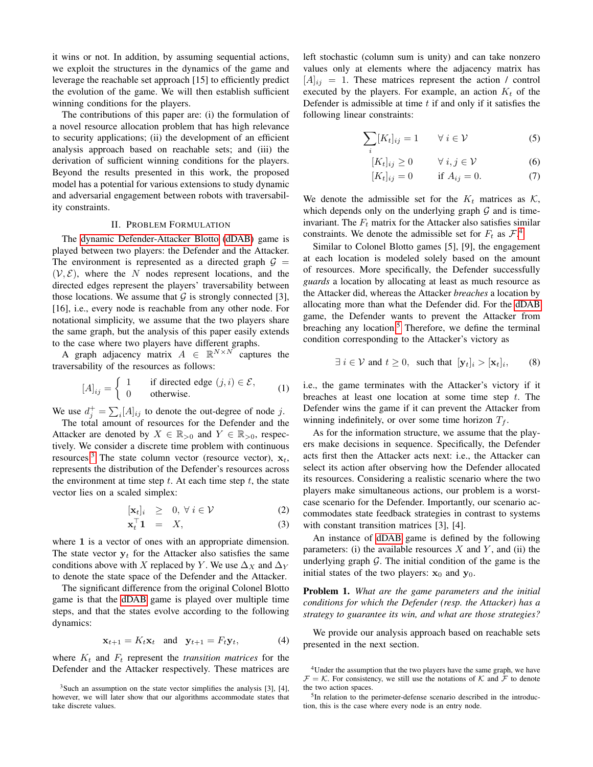it wins or not. In addition, by assuming sequential actions, we exploit the structures in the dynamics of the game and leverage the reachable set approach [15] to efficiently predict the evolution of the game. We will then establish sufficient winning conditions for the players.

The contributions of this paper are: (i) the formulation of a novel resource allocation problem that has high relevance to security applications; (ii) the development of an efficient analysis approach based on reachable sets; and (iii) the derivation of sufficient winning conditions for the players. Beyond the results presented in this work, the proposed model has a potential for various extensions to study dynamic and adversarial engagement between robots with traversability constraints.

# II. PROBLEM FORMULATION

The [dynamic Defender-Attacker Blotto](#page-0-3) [\(dDAB\)](#page-0-3) game is played between two players: the Defender and the Attacker. The environment is represented as a directed graph  $G =$  $(V, \mathcal{E})$ , where the N nodes represent locations, and the directed edges represent the players' traversability between those locations. We assume that  $G$  is strongly connected [3], [16], i.e., every node is reachable from any other node. For notational simplicity, we assume that the two players share the same graph, but the analysis of this paper easily extends to the case where two players have different graphs.

A graph adjacency matrix  $A \in \mathbb{R}^{N \times N}$  captures the traversability of the resources as follows:

$$
[A]_{ij} = \begin{cases} 1 & \text{if directed edge } (j,i) \in \mathcal{E}, \\ 0 & \text{otherwise.} \end{cases}
$$
 (1)

We use  $d_j^+ = \sum_i [A]_{ij}$  to denote the out-degree of node j.

The total amount of resources for the Defender and the Attacker are denoted by  $X \in \mathbb{R}_{>0}$  and  $Y \in \mathbb{R}_{>0}$ , respectively. We consider a discrete time problem with continuous resources.<sup>[3](#page-1-0)</sup> The state column vector (resource vector),  $x_t$ , represents the distribution of the Defender's resources across the environment at time step  $t$ . At each time step  $t$ , the state vector lies on a scaled simplex:

$$
[\mathbf{x}_t]_i \geq 0, \forall i \in \mathcal{V} \tag{2}
$$

$$
\mathbf{x}_t^\top \mathbf{1} = X,\tag{3}
$$

where 1 is a vector of ones with an appropriate dimension. The state vector  $y_t$  for the Attacker also satisfies the same conditions above with X replaced by Y. We use  $\Delta_X$  and  $\Delta_Y$ to denote the state space of the Defender and the Attacker.

The significant difference from the original Colonel Blotto game is that the [dDAB](#page-0-3) game is played over multiple time steps, and that the states evolve according to the following dynamics:

<span id="page-1-3"></span>
$$
\mathbf{x}_{t+1} = K_t \mathbf{x}_t \quad \text{and} \quad \mathbf{y}_{t+1} = F_t \mathbf{y}_t,\tag{4}
$$

where  $K_t$  and  $F_t$  represent the *transition matrices* for the Defender and the Attacker respectively. These matrices are left stochastic (column sum is unity) and can take nonzero values only at elements where the adjacency matrix has  $[A]_{ij} = 1$ . These matrices represent the action / control executed by the players. For example, an action  $K_t$  of the Defender is admissible at time  $t$  if and only if it satisfies the following linear constraints:

$$
\sum_{i} [K_{t}]_{ij} = 1 \qquad \forall \ i \in \mathcal{V} \tag{5}
$$

$$
[K_t]_{ij} \ge 0 \qquad \forall \ i, j \in \mathcal{V} \tag{6}
$$

<span id="page-1-5"></span><span id="page-1-4"></span>
$$
[K_t]_{ij} = 0 \qquad \text{if } A_{ij} = 0. \tag{7}
$$

We denote the admissible set for the  $K_t$  matrices as  $K$ , which depends only on the underlying graph  $G$  and is timeinvariant. The  $F_t$  matrix for the Attacker also satisfies similar constraints. We denote the admissible set for  $F_t$  as  $\mathcal{F}^A$ .

Similar to Colonel Blotto games [5], [9], the engagement at each location is modeled solely based on the amount of resources. More specifically, the Defender successfully *guards* a location by allocating at least as much resource as the Attacker did, whereas the Attacker *breaches* a location by allocating more than what the Defender did. For the [dDAB](#page-0-3) game, the Defender wants to prevent the Attacker from breaching any location. $5$  Therefore, we define the terminal condition corresponding to the Attacker's victory as

> <span id="page-1-6"></span> $\exists i \in V$  and  $t \geq 0$ , such that  $[\mathbf{y}_t]_i > [\mathbf{x}_t]_i$ , , (8)

i.e., the game terminates with the Attacker's victory if it breaches at least one location at some time step  $t$ . The Defender wins the game if it can prevent the Attacker from winning indefinitely, or over some time horizon  $T_f$ .

As for the information structure, we assume that the players make decisions in sequence. Specifically, the Defender acts first then the Attacker acts next: i.e., the Attacker can select its action after observing how the Defender allocated its resources. Considering a realistic scenario where the two players make simultaneous actions, our problem is a worstcase scenario for the Defender. Importantly, our scenario accommodates state feedback strategies in contrast to systems with constant transition matrices [3], [4].

An instance of [dDAB](#page-0-3) game is defined by the following parameters: (i) the available resources  $X$  and  $Y$ , and (ii) the underlying graph  $G$ . The initial condition of the game is the initial states of the two players:  $x_0$  and  $y_0$ .

Problem 1. *What are the game parameters and the initial conditions for which the Defender (resp. the Attacker) has a strategy to guarantee its win, and what are those strategies?*

We provide our analysis approach based on reachable sets presented in the next section.

<span id="page-1-0"></span> $3$ Such an assumption on the state vector simplifies the analysis [3], [4], however, we will later show that our algorithms accommodate states that take discrete values.

<span id="page-1-1"></span><sup>&</sup>lt;sup>4</sup>Under the assumption that the two players have the same graph, we have  $\mathcal{F} = \mathcal{K}$ . For consistency, we still use the notations of  $\mathcal{K}$  and  $\mathcal{F}$  to denote the two action spaces.

<span id="page-1-2"></span><sup>&</sup>lt;sup>5</sup>In relation to the perimeter-defense scenario described in the introduction, this is the case where every node is an entry node.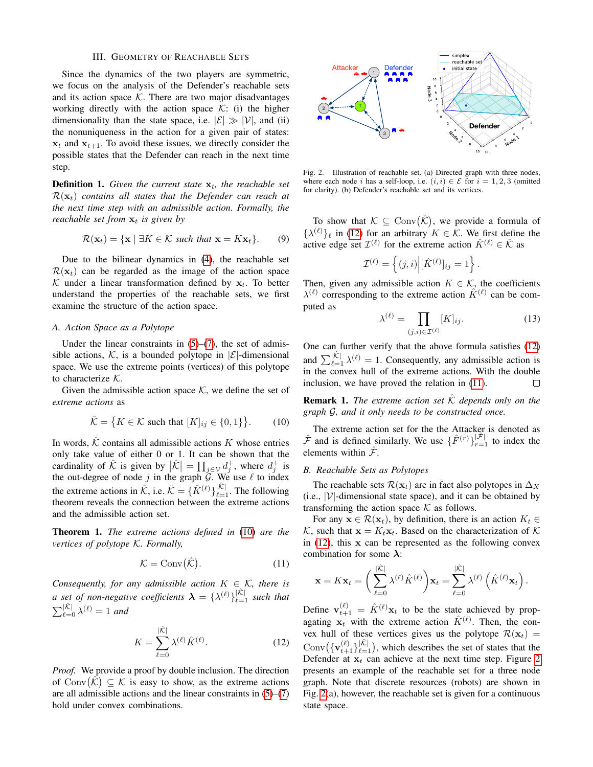## III. GEOMETRY OF REACHABLE SETS

Since the dynamics of the two players are symmetric, we focus on the analysis of the Defender's reachable sets and its action space  $K$ . There are two major disadvantages working directly with the action space  $K:$  (i) the higher dimensionality than the state space, i.e.  $|\mathcal{E}| \gg |\mathcal{V}|$ , and (ii) the nonuniqueness in the action for a given pair of states:  $x_t$  and  $x_{t+1}$ . To avoid these issues, we directly consider the possible states that the Defender can reach in the next time step.

**Definition 1.** Given the current state  $x_t$ , the reachable set  $\mathcal{R}(\mathbf{x}_t)$  *contains all states that the Defender can reach at the next time step with an admissible action. Formally, the reachable set from*  $x_t$  *is given by* 

$$
\mathcal{R}(\mathbf{x}_t) = \{ \mathbf{x} \mid \exists K \in \mathcal{K} \text{ such that } \mathbf{x} = K \mathbf{x}_t \}. \tag{9}
$$

Due to the bilinear dynamics in [\(4\)](#page-1-3), the reachable set  $\mathcal{R}(\mathbf{x}_t)$  can be regarded as the image of the action space K under a linear transformation defined by  $x_t$ . To better understand the properties of the reachable sets, we first examine the structure of the action space.

#### *A. Action Space as a Polytope*

Under the linear constraints in  $(5)-(7)$  $(5)-(7)$  $(5)-(7)$ , the set of admissible actions, K, is a bounded polytope in  $|\mathcal{E}|$ -dimensional space. We use the extreme points (vertices) of this polytope to characterize K.

Given the admissible action space  $K$ , we define the set of *extreme actions* as

<span id="page-2-0"></span>
$$
\hat{\mathcal{K}} = \left\{ K \in \mathcal{K} \text{ such that } [K]_{ij} \in \{0, 1\} \right\}. \tag{10}
$$

In words,  $\hat{K}$  contains all admissible actions K whose entries only take value of either 0 or 1. It can be shown that the cardinality of  $\hat{\mathcal{K}}$  is given by  $|\hat{\mathcal{K}}| = \prod_{j \in \mathcal{V}} d_j^+$ , where  $d_j^+$  is the out-degree of node j in the graph  $G$ . We use  $\ell$  to index the extreme actions in  $\hat{K}$ , i.e.  $\hat{K} = {\{\hat{K}^{(\ell)}\}}_{\ell=1}^{|\hat{K}|}$ . The following theorem reveals the connection between the extreme actions and the admissible action set.

Theorem 1. *The extreme actions defined in* [\(10\)](#page-2-0) *are the vertices of polytope* K*. Formally,*

<span id="page-2-2"></span>
$$
\mathcal{K} = \text{Conv}(\hat{\mathcal{K}}). \tag{11}
$$

*Consequently, for any admissible action*  $K \in \mathcal{K}$ *, there is a set of non-negative coefficients*  $\boldsymbol{\lambda} = {\lambda^{(\ell)}}_{\ell=1}^{|\hat{\mathcal{K}}|}$  *such that*  $\sum_{\ell=0}^{|\hat{\mathcal{K}}|} \lambda^{(\ell)} = 1$  and

<span id="page-2-1"></span>
$$
K = \sum_{\ell=0}^{|\hat{\mathcal{K}}|} \lambda^{(\ell)} \hat{K}^{(\ell)}.
$$
 (12)

*Proof.* We provide a proof by double inclusion. The direction of Conv $(\hat{\mathcal{K}}) \subseteq \mathcal{K}$  is easy to show, as the extreme actions are all admissible actions and the linear constraints in [\(5\)](#page-1-4)–[\(7\)](#page-1-5) hold under convex combinations.



<span id="page-2-3"></span>Fig. 2. Illustration of reachable set. (a) Directed graph with three nodes, where each node i has a self-loop, i.e.  $(i, i) \in \mathcal{E}$  for  $i = 1, 2, 3$  (omitted for clarity). (b) Defender's reachable set and its vertices.

To show that  $\mathcal{K} \subseteq \text{Conv}(\hat{\mathcal{K}})$ , we provide a formula of  $\{\lambda^{(\ell)}\}_\ell$  in [\(12\)](#page-2-1) for an arbitrary  $K \in \mathcal{K}$ . We first define the active edge set  $\mathcal{I}^{(\ell)}$  for the extreme action  $\hat{K}^{(\ell)} \in \hat{\mathcal{K}}$  as

$$
\mathcal{I}^{(\ell)} = \left\{ (j,i) \middle| [\hat{K}^{(\ell)}]_{ij} = 1 \right\}.
$$

Then, given any admissible action  $K \in \mathcal{K}$ , the coefficients  $\lambda^{(\ell)}$  corresponding to the extreme action  $\hat{K}^{(\ell)}$  can be computed as

$$
\lambda^{(\ell)} = \prod_{(j,i)\in\mathcal{I}^{(\ell)}} [K]_{ij}.
$$
\n(13)

One can further verify that the above formula satisfies [\(12\)](#page-2-1) and  $\sum_{\ell=1}^{|\hat{\mathcal{K}}|} \lambda^{(\ell)} = 1$ . Consequently, any admissible action is in the convex hull of the extreme actions. With the double inclusion, we have proved the relation in [\(11\)](#page-2-2). П

**Remark 1.** *The extreme action set*  $\hat{K}$  *depends only on the graph* G*, and it only needs to be constructed once.*

The extreme action set for the the Attacker is denoted as  $\hat{\mathcal{F}}$  and is defined similarly. We use  $\{\hat{F}^{(r)}\}_{r=1}^{|\hat{\mathcal{F}}|}$  to index the elements within  $\hat{\mathcal{F}}$ .

# *B. Reachable Sets as Polytopes*

The reachable sets  $\mathcal{R}(\mathbf{x}_t)$  are in fact also polytopes in  $\Delta_X$  $(i.e., |\mathcal{V}|$ -dimensional state space), and it can be obtained by transforming the action space  $K$  as follows.

For any  $\mathbf{x} \in \mathcal{R}(\mathbf{x}_t)$ , by definition, there is an action  $K_t \in$ K, such that  $\mathbf{x} = K_t \mathbf{x}_t$ . Based on the characterization of K in  $(12)$ , this x can be represented as the following convex combination for some  $\lambda$ :

$$
\mathbf{x} = K\mathbf{x}_t = \left(\sum_{\ell=0}^{|\hat{K}|} \lambda^{(\ell)} \hat{K}^{(\ell)}\right) \mathbf{x}_t = \sum_{\ell=0}^{|\hat{K}|} \lambda^{(\ell)} \left(\hat{K}^{(\ell)} \mathbf{x}_t\right).
$$

Define  $\mathbf{v}_{t+1}^{(\ell)} = \hat{K}^{(\ell)} \mathbf{x}_t$  to be the state achieved by propagating  $x_t$  with the extreme action  $\hat{K}^{(\ell)}$ . Then, the convex hull of these vertices gives us the polytope  $\mathcal{R}(\mathbf{x}_t)$  = Conv $\left(\{\mathbf{v}_{t+1}^{(\ell)}\}_{\ell=1}^{|\hat{\mathcal{K}}|}\right)$ , which describes the set of states that the Defender at  $x_t$  can achieve at the next time step. Figure [2](#page-2-3) presents an example of the reachable set for a three node graph. Note that discrete resources (robots) are shown in Fig. [2\(](#page-2-3)a), however, the reachable set is given for a continuous state space.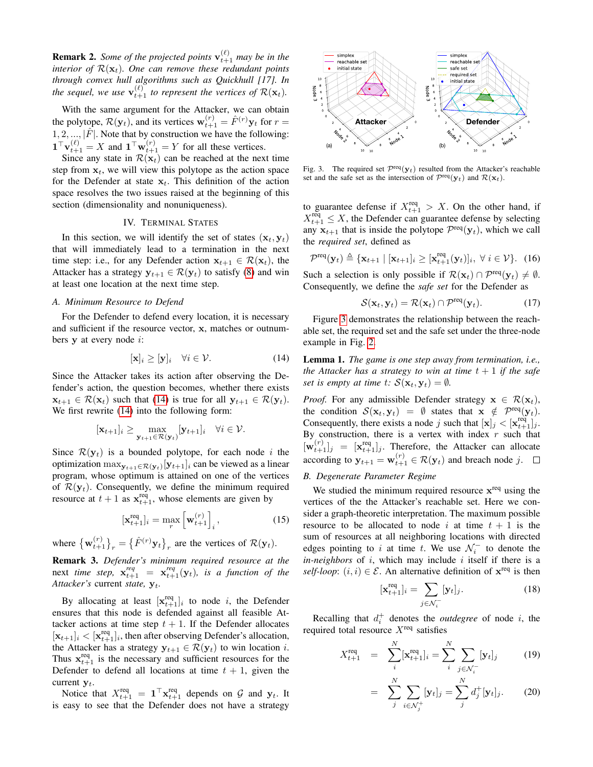**Remark 2.** Some of the projected points  $\mathbf{v}_{t+1}^{(\ell)}$  may be in the *interior of*  $\mathcal{R}(\mathbf{x}_t)$ *. One can remove these redundant points through convex hull algorithms such as Quickhull [17]. In* the sequel, we use  $\mathbf{v}_{t+1}^{(\ell)}$  to represent the vertices of  $\mathcal{R}(\mathbf{x}_t)$ .

With the same argument for the Attacker, we can obtain the polytope,  $\mathcal{R}(\mathbf{y}_t)$ , and its vertices  $\mathbf{w}_{t+1}^{(r)} = \hat{F}^{(r)} \mathbf{y}_t$  for  $r =$  $1, 2, ..., |\hat{F}|$ . Note that by construction we have the following:  $\mathbf{1}^\top \mathbf{v}_{t+1}^{(\ell)} = X$  and  $\mathbf{1}^\top \mathbf{w}_{t+1}^{(r)} = Y$  for all these vertices.

Since any state in  $\mathcal{R}(\mathbf{x}_t)$  can be reached at the next time step from  $x_t$ , we will view this polytope as the action space for the Defender at state  $x_t$ . This definition of the action space resolves the two issues raised at the beginning of this section (dimensionality and nonuniqueness).

# IV. TERMINAL STATES

In this section, we will identify the set of states  $(\mathbf{x}_t, \mathbf{y}_t)$ that will immediately lead to a termination in the next time step: i.e., for any Defender action  $x_{t+1} \in \mathcal{R}(x_t)$ , the Attacker has a strategy  $y_{t+1} \in \mathcal{R}(y_t)$  to satisfy [\(8\)](#page-1-6) and win at least one location at the next time step.

# *A. Minimum Resource to Defend*

For the Defender to defend every location, it is necessary and sufficient if the resource vector, x, matches or outnumbers  $y$  at every node  $i$ :

<span id="page-3-0"></span>
$$
[\mathbf{x}]_i \ge [\mathbf{y}]_i \quad \forall i \in \mathcal{V}.\tag{14}
$$

Since the Attacker takes its action after observing the Defender's action, the question becomes, whether there exists  $\mathbf{x}_{t+1} \in \mathcal{R}(\mathbf{x}_t)$  such that [\(14\)](#page-3-0) is true for all  $\mathbf{y}_{t+1} \in \mathcal{R}(\mathbf{y}_t)$ . We first rewrite [\(14\)](#page-3-0) into the following form:

$$
[\mathbf{x}_{t+1}]_i \geq \max_{\mathbf{y}_{t+1} \in \mathcal{R}(\mathbf{y}_t)} [\mathbf{y}_{t+1}]_i \quad \forall i \in \mathcal{V}.
$$

Since  $\mathcal{R}(\mathbf{y}_t)$  is a bounded polytope, for each node i the optimization  $\max_{\mathbf{y}_{t+1} \in \mathcal{R}(\mathbf{y}_t)} [\mathbf{y}_{t+1}]_i$  can be viewed as a linear program, whose optimum is attained on one of the vertices of  $\mathcal{R}(\mathbf{y}_t)$ . Consequently, we define the minimum required resource at  $t + 1$  as  $\mathbf{x}_{t+1}^{\text{req}}$ , whose elements are given by

$$
[\mathbf{x}_{t+1}^{\text{req}}]_i = \max_r \left[\mathbf{w}_{t+1}^{(r)}\right]_i,\tag{15}
$$

where  ${\mathbf w}_{t+1}^{(r)}\}_r = {\hat{F}^{(r)}\mathbf{y}_t}_r$  are the vertices of  $\mathcal{R}(\mathbf{y}_t)$ .

Remark 3. *Defender's minimum required resource at the* next *time step*,  $\mathbf{x}_{t+1}^{req} = \mathbf{x}_{t+1}^{req}(\mathbf{y}_t)$ , *is a function of the Attacker's* current *state*,  $y_t$ .

By allocating at least  $[\mathbf{x}_{t+1}^{\text{req}}]_i$  to node i, the Defender ensures that this node is defended against all feasible Attacker actions at time step  $t + 1$ . If the Defender allocates  $[\mathbf{x}_{t+1}]_i < [\mathbf{x}_{t+1}^{\text{req}}]_i$ , then after observing Defender's allocation, the Attacker has a strategy  $y_{t+1} \in \mathcal{R}(y_t)$  to win location *i*. Thus  $x_{t+1}^{req}$  is the necessary and sufficient resources for the Defender to defend all locations at time  $t + 1$ , given the current  $y_t$ .

Notice that  $X_{t+1}^{\text{req}} = \mathbf{1}^\top \mathbf{x}_{t+1}^{\text{req}}$  depends on  $\mathcal{G}$  and  $\mathbf{y}_t$ . It is easy to see that the Defender does not have a strategy



<span id="page-3-1"></span>Fig. 3. The required set  $\mathcal{P}^{\text{req}}(\mathbf{y}_t)$  resulted from the Attacker's reachable set and the safe set as the intersection of  $\mathcal{P}^{\text{req}}(\mathbf{y}_t)$  and  $\mathcal{R}(\mathbf{x}_t)$ .

to guarantee defense if  $X_{t+1}^{req} > X$ . On the other hand, if  $X_{t+1}^{\text{req}} \leq X$ , the Defender can guarantee defense by selecting any  $x_{t+1}$  that is inside the polytope  $\mathcal{P}^{\text{req}}(\mathbf{y}_t)$ , which we call the *required set*, defined as

$$
\mathcal{P}^{\text{req}}(\mathbf{y}_t) \triangleq \{ \mathbf{x}_{t+1} \mid [\mathbf{x}_{t+1}]_i \geq [\mathbf{x}_{t+1}^{\text{req}}(\mathbf{y}_t)]_i, \ \forall \ i \in \mathcal{V} \}. \tag{16}
$$

Such a selection is only possible if  $\mathcal{R}(\mathbf{x}_t) \cap \mathcal{P}^{\text{req}}(\mathbf{y}_t) \neq \emptyset$ . Consequently, we define the *safe set* for the Defender as

$$
S(\mathbf{x}_t, \mathbf{y}_t) = \mathcal{R}(\mathbf{x}_t) \cap \mathcal{P}^{\text{req}}(\mathbf{y}_t).
$$
 (17)

Figure [3](#page-3-1) demonstrates the relationship between the reachable set, the required set and the safe set under the three-node example in Fig. [2.](#page-2-3)

<span id="page-3-2"></span>Lemma 1. *The game is one step away from termination, i.e., the Attacker has a strategy to win at time*  $t + 1$  *if the safe set is empty at time t:*  $S(\mathbf{x}_t, \mathbf{y}_t) = \emptyset$ *.* 

*Proof.* For any admissible Defender strategy  $x \in \mathcal{R}(x_t)$ , the condition  $S(\mathbf{x}_t, \mathbf{y}_t) = \emptyset$  states that  $\mathbf{x} \notin \mathcal{P}^{\text{req}}(\mathbf{y}_t)$ . Consequently, there exists a node j such that  $[\mathbf{x}]_j < [\mathbf{x}_{t+1}^{\text{req}}]_j$ . By construction, there is a vertex with index  $r$  such that  $[\mathbf{w}_{t+1}^{(r)}]_j = [\mathbf{x}_{t+1}^{\text{req}}]_j$ . Therefore, the Attacker can allocate according to  $y_{t+1} = \mathbf{w}_{t+1}^{(r)} \in \mathcal{R}(y_t)$  and breach node j.

## *B. Degenerate Parameter Regime*

We studied the minimum required resource  $x^{req}$  using the vertices of the the Attacker's reachable set. Here we consider a graph-theoretic interpretation. The maximum possible resource to be allocated to node i at time  $t + 1$  is the sum of resources at all neighboring locations with directed edges pointing to i at time t. We use  $\mathcal{N}_i^-$  to denote the  $in-neighbors$  of  $i$ , which may include  $i$  itself if there is a *self-loop*:  $(i, i) \in \mathcal{E}$ . An alternative definition of  $\mathbf{x}^{\text{req}}$  is then

$$
[\mathbf{x}_{t+1}^{\text{req}}]_i = \sum_{j \in \mathcal{N}_i^-} [\mathbf{y}_t]_j. \tag{18}
$$

Recalling that  $d_i^+$  denotes the *outdegree* of node i, the required total resource  $X^{\text{req}}$  satisfies

$$
X_{t+1}^{\text{req}} = \sum_{i}^{N} [\mathbf{x}_{t+1}^{\text{req}}]_i = \sum_{i}^{N} \sum_{j \in \mathcal{N}_i^-} [\mathbf{y}_t]_j \tag{19}
$$

$$
= \sum_{j}^{N} \sum_{i \in \mathcal{N}_{j}^{+}} [\mathbf{y}_{t}]_{j} = \sum_{j}^{N} d_{j}^{+} [\mathbf{y}_{t}]_{j}.
$$
 (20)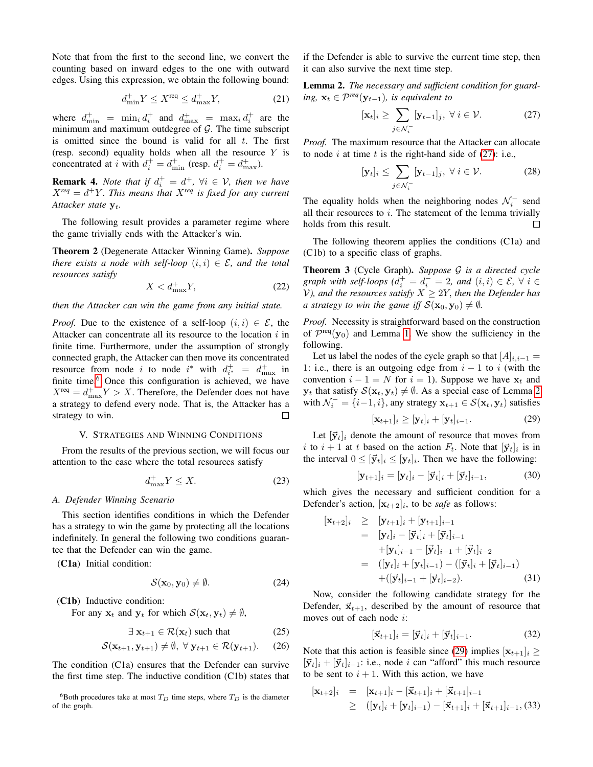Note that from the first to the second line, we convert the counting based on inward edges to the one with outward edges. Using this expression, we obtain the following bound:

$$
d_{\min}^+ Y \le X^{\text{req}} \le d_{\max}^+ Y,\tag{21}
$$

where  $d_{\min}^+ = \min_i d_i^+$  and  $d_{\max}^+ = \max_i d_i^+$  are the minimum and maximum outdegree of  $G$ . The time subscript is omitted since the bound is valid for all  $t$ . The first (resp. second) equality holds when all the resource  $Y$  is concentrated at *i* with  $d_i^+ = d_{\min}^+$  (resp.  $d_i^+ = d_{\max}^+$ ).

**Remark 4.** *Note that if*  $d_i^+ = d^+$ ,  $\forall i \in \mathcal{V}$ , *then we have*  $X^{req} = d^+Y$ . This means that  $X^{req}$  is fixed for any current Attacker state  $y_t$ .

The following result provides a parameter regime where the game trivially ends with the Attacker's win.

Theorem 2 (Degenerate Attacker Winning Game). *Suppose there exists a node with self-loop*  $(i, i) \in \mathcal{E}$ , and the total *resources satisfy*

$$
X < d_{\text{max}}^+ Y,\tag{22}
$$

*then the Attacker can win the game from any initial state.*

*Proof.* Due to the existence of a self-loop  $(i, i) \in \mathcal{E}$ , the Attacker can concentrate all its resource to the location  $i$  in finite time. Furthermore, under the assumption of strongly connected graph, the Attacker can then move its concentrated resource from node i to node i\* with  $d_{i^*}^+ = d_{\max}^+$  in finite time.<sup>[6](#page-4-0)</sup> Once this configuration is achieved, we have  $X^{\text{req}} = d_{\text{max}}^+ Y > X$ . Therefore, the Defender does not have a strategy to defend every node. That is, the Attacker has a strategy to win. П

# V. STRATEGIES AND WINNING CONDITIONS

From the results of the previous section, we will focus our attention to the case where the total resources satisfy

<span id="page-4-6"></span>
$$
d_{\max}^+ Y \le X. \tag{23}
$$

#### *A. Defender Winning Scenario*

This section identifies conditions in which the Defender has a strategy to win the game by protecting all the locations indefinitely. In general the following two conditions guarantee that the Defender can win the game.

(C1a) Initial condition:

$$
\mathcal{S}(\mathbf{x}_0, \mathbf{y}_0) \neq \emptyset. \tag{24}
$$

(C1b) Inductive condition:

For any  $x_t$  and  $y_t$  for which  $\mathcal{S}(x_t, y_t) \neq \emptyset$ ,

$$
\exists \mathbf{x}_{t+1} \in \mathcal{R}(\mathbf{x}_t) \text{ such that } (25)
$$

$$
\mathcal{S}(\mathbf{x}_{t+1}, \mathbf{y}_{t+1}) \neq \emptyset, \ \forall \mathbf{y}_{t+1} \in \mathcal{R}(\mathbf{y}_{t+1}). \tag{26}
$$

The condition (C1a) ensures that the Defender can survive the first time step. The inductive condition (C1b) states that if the Defender is able to survive the current time step, then it can also survive the next time step.

<span id="page-4-2"></span>Lemma 2. *The necessary and sufficient condition for guarding,*  $\mathbf{x}_t$  ∈  $\mathcal{P}^{req}(\mathbf{y}_{t-1})$ *, is equivalent to* 

<span id="page-4-1"></span>
$$
[\mathbf{x}_t]_i \ge \sum_{j \in \mathcal{N}_i^-} [\mathbf{y}_{t-1}]_j, \ \forall \ i \in \mathcal{V}.
$$
 (27)

*Proof.* The maximum resource that the Attacker can allocate to node i at time t is the right-hand side of  $(27)$ : i.e.,

$$
[\mathbf{y}_t]_i \le \sum_{j \in \mathcal{N}_i^-} [\mathbf{y}_{t-1}]_j, \ \forall \ i \in \mathcal{V}.\tag{28}
$$

The equality holds when the neighboring nodes  $\mathcal{N}_i^-$  send all their resources to  $i$ . The statement of the lemma trivially holds from this result.  $\Box$ 

The following theorem applies the conditions (C1a) and (C1b) to a specific class of graphs.

<span id="page-4-5"></span>Theorem 3 (Cycle Graph). *Suppose* G *is a directed cycle graph with self-loops*  $(d_i^+ = d_i^- = 2$ *, and*  $(i, i) \in \mathcal{E}$ ,  $\forall i \in$ *V*), and the resources satisfy  $X \geq 2Y$ , then the Defender has *a strategy to win the game iff*  $S(\mathbf{x}_0, \mathbf{y}_0) \neq \emptyset$ *.* 

*Proof.* Necessity is straightforward based on the construction of  $\mathcal{P}^{\text{req}}(\mathbf{y}_0)$  and Lemma [1.](#page-3-2) We show the sufficiency in the following.

Let us label the nodes of the cycle graph so that  $[A]_{i,i-1} =$ 1: i.e., there is an outgoing edge from  $i - 1$  to i (with the convention  $i - 1 = N$  for  $i = 1$ ). Suppose we have  $x_t$  and  $y_t$  that satisfy  $S(\mathbf{x}_t, \mathbf{y}_t) \neq \emptyset$ . As a special case of Lemma [2](#page-4-2) with  $\mathcal{N}_i^- = \{i-1, i\}$ , any strategy  $\mathbf{x}_{t+1} \in \mathcal{S}(\mathbf{x}_t, \mathbf{y}_t)$  satisfies

<span id="page-4-3"></span>
$$
[\mathbf{x}_{t+1}]_i \geq [\mathbf{y}_t]_i + [\mathbf{y}_t]_{i-1}.
$$
 (29)

Let  $[\vec{y}_t]_i$  denote the amount of resource that moves from i to  $i + 1$  at t based on the action  $F_t$ . Note that  $[\vec{y}_t]_i$  is in the interval  $0 \leq [\vec{y}_t]_i \leq [\mathbf{y}_t]_i$ . Then we have the following:

$$
[\mathbf{y}_{t+1}]_i = [\mathbf{y}_t]_i - [\vec{\mathbf{y}}_t]_i + [\vec{\mathbf{y}}_t]_{i-1},
$$
\n(30)

which gives the necessary and sufficient condition for a Defender's action,  $[x_{t+2}]_i$ , to be *safe* as follows:

<span id="page-4-4"></span>
$$
\begin{aligned}\n[\mathbf{x}_{t+2}]_i &\geq [\mathbf{y}_{t+1}]_i + [\mathbf{y}_{t+1}]_{i-1} \\
&= [\mathbf{y}_t]_i - [\vec{\mathbf{y}}_t]_i + [\vec{\mathbf{y}}_t]_{i-1} \\
&\quad + [\mathbf{y}_t]_{i-1} - [\vec{\mathbf{y}}_t]_{i-1} + [\vec{\mathbf{y}}_t]_{i-2} \\
&= ([\mathbf{y}_t]_i + [\mathbf{y}_t]_{i-1}) - ([\vec{\mathbf{y}}_t]_i + [\vec{\mathbf{y}}_t]_{i-1}) \\
&\quad + ([\vec{\mathbf{y}}_t]_{i-1} + [\vec{\mathbf{y}}_t]_{i-2}).\n\end{aligned} \tag{31}
$$

Now, consider the following candidate strategy for the Defender,  $\vec{x}_{t+1}$ , described by the amount of resource that moves out of each node i:

$$
[\vec{\mathbf{x}}_{t+1}]_i = [\vec{\mathbf{y}}_t]_i + [\vec{\mathbf{y}}_t]_{i-1}.
$$
 (32)

Note that this action is feasible since [\(29\)](#page-4-3) implies  $[x_{t+1}]_i \geq$  $[\vec{y}_t]_i + [\vec{y}_t]_{i-1}$ : i.e., node i can "afford" this much resource to be sent to  $i + 1$ . With this action, we have

$$
\begin{array}{rcl}\n[\mathbf{x}_{t+2}]_i & = & [\mathbf{x}_{t+1}]_i - [\vec{\mathbf{x}}_{t+1}]_i + [\vec{\mathbf{x}}_{t+1}]_{i-1} \\
& \geq & ([\mathbf{y}_t]_i + [\mathbf{y}_t]_{i-1}) - [\vec{\mathbf{x}}_{t+1}]_i + [\vec{\mathbf{x}}_{t+1}]_{i-1}, \quad (33)\n\end{array}
$$

<span id="page-4-0"></span><sup>&</sup>lt;sup>6</sup>Both procedures take at most  $T_D$  time steps, where  $T_D$  is the diameter of the graph.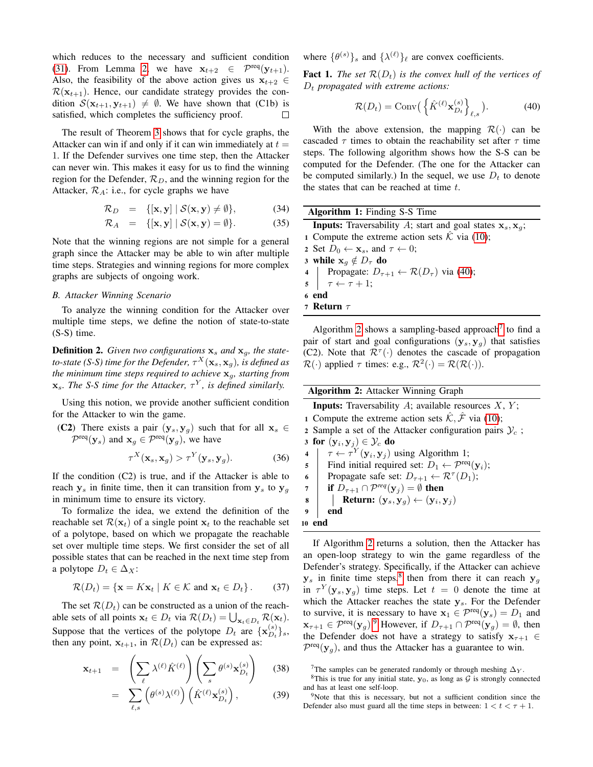which reduces to the necessary and sufficient condition [\(31\)](#page-4-4). From Lemma [2,](#page-4-2) we have  $\mathbf{x}_{t+2} \in \mathcal{P}^{\text{req}}(\mathbf{y}_{t+1})$ . Also, the feasibility of the above action gives us  $x_{t+2} \in$  $\mathcal{R}(\mathbf{x}_{t+1})$ . Hence, our candidate strategy provides the condition  $\mathcal{S}(\mathbf{x}_{t+1}, \mathbf{y}_{t+1}) \neq \emptyset$ . We have shown that (C1b) is satisfied, which completes the sufficiency proof.

The result of Theorem [3](#page-4-5) shows that for cycle graphs, the Attacker can win if and only if it can win immediately at  $t =$ 1. If the Defender survives one time step, then the Attacker can never win. This makes it easy for us to find the winning region for the Defender,  $\mathcal{R}_D$ , and the winning region for the Attacker,  $\mathcal{R}_A$ : i.e., for cycle graphs we have

$$
\mathcal{R}_D = \{[\mathbf{x}, \mathbf{y}] \mid \mathcal{S}(\mathbf{x}, \mathbf{y}) \neq \emptyset\},\tag{34}
$$

$$
\mathcal{R}_A = \{[\mathbf{x}, \mathbf{y}] \mid \mathcal{S}(\mathbf{x}, \mathbf{y}) = \emptyset\}.
$$
 (35)

Note that the winning regions are not simple for a general graph since the Attacker may be able to win after multiple time steps. Strategies and winning regions for more complex graphs are subjects of ongoing work.

### *B. Attacker Winning Scenario*

To analyze the winning condition for the Attacker over multiple time steps, we define the notion of state-to-state (S-S) time.

**Definition 2.** Given two configurations  $x_s$  and  $x_g$ , the stateto-state (S-S) time for the Defender,  $\tau^X(\mathbf{x}_s,\mathbf{x}_g)$ , is defined as *the minimum time steps required to achieve*  $x_g$ *, starting from*  $\mathbf{x}_s$ *. The S-S time for the Attacker,*  $\tau^Y$ *, is defined similarly.* 

Using this notion, we provide another sufficient condition for the Attacker to win the game.

(C2) There exists a pair 
$$
(y_s, y_g)
$$
 such that for all  $x_s \in$   
 $\mathcal{P}^{\text{req}}(y_s)$  and  $x_g \in \mathcal{P}^{\text{req}}(y_g)$ , we have

$$
\tau^X(\mathbf{x}_s, \mathbf{x}_g) > \tau^Y(\mathbf{y}_s, \mathbf{y}_g). \tag{36}
$$

If the condition (C2) is true, and if the Attacker is able to reach  $y_s$  in finite time, then it can transition from  $y_s$  to  $y_g$ in minimum time to ensure its victory.

To formalize the idea, we extend the definition of the reachable set  $\mathcal{R}(\mathbf{x}_t)$  of a single point  $\mathbf{x}_t$  to the reachable set of a polytope, based on which we propagate the reachable set over multiple time steps. We first consider the set of all possible states that can be reached in the next time step from a polytope  $D_t \in \Delta_X$ :

$$
\mathcal{R}(D_t) = \{ \mathbf{x} = K\mathbf{x}_t \mid K \in \mathcal{K} \text{ and } \mathbf{x}_t \in D_t \}. \tag{37}
$$

The set  $\mathcal{R}(D_t)$  can be constructed as a union of the reachable sets of all points  $\mathbf{x}_t \in D_t$  via  $\mathcal{R}(D_t) = \bigcup_{\mathbf{x}_t \in D_t} \mathcal{R}(\mathbf{x}_t)$ . Suppose that the vertices of the polytope  $D_t$  are  $\{x_{D_t}^{(s)}\}$  $_{D_{t}}^{(s)}\}_{s},$ then any point,  $x_{t+1}$ , in  $\mathcal{R}(D_t)$  can be expressed as:

$$
\mathbf{x}_{t+1} = \left(\sum_{\ell} \lambda^{(\ell)} \hat{K}^{(\ell)}\right) \left(\sum_{s} \theta^{(s)} \mathbf{x}_{D_t}^{(s)}\right) \quad (38)
$$

$$
= \sum_{\ell,s} \left( \theta^{(s)} \lambda^{(\ell)} \right) \left( \hat{K}^{(\ell)} \mathbf{x}_{D_t}^{(s)} \right), \tag{39}
$$

where  $\{\theta^{(s)}\}_s$  and  $\{\lambda^{(\ell)}\}_\ell$  are convex coefficients.

**Fact 1.** *The set*  $\mathcal{R}(D_t)$  *is the convex hull of the vertices of*  $D_t$  *propagated with extreme actions:* 

<span id="page-5-0"></span>
$$
\mathcal{R}(D_t) = \text{Conv}\left(\left\{\hat{K}^{(\ell)} \mathbf{x}_{D_t}^{(s)}\right\}_{\ell,s}\right). \tag{40}
$$

With the above extension, the mapping  $\mathcal{R}(\cdot)$  can be cascaded  $\tau$  times to obtain the reachability set after  $\tau$  time steps. The following algorithm shows how the S-S can be computed for the Defender. (The one for the Attacker can be computed similarly.) In the sequel, we use  $D_t$  to denote the states that can be reached at time  $t$ .

| <b>Algorithm 1:</b> Finding S-S Time                                                                   |
|--------------------------------------------------------------------------------------------------------|
| <b>Inputs:</b> Traversability A; start and goal states $x_s$ , $x_q$ ;                                 |
| 1 Compute the extreme action sets $\hat{\mathcal{K}}$ via (10);                                        |
| 2 Set $D_0 \leftarrow \mathbf{x}_s$ , and $\tau \leftarrow 0$ ;                                        |
| 3 while $x_q \notin D_\tau$ do                                                                         |
|                                                                                                        |
| 4 Propagate: $D_{\tau+1} \leftarrow \mathcal{R}(D_{\tau})$ via (40);<br>5 $\tau \leftarrow \tau + 1$ ; |
| 6 end                                                                                                  |
| 7 Return $\tau$                                                                                        |
|                                                                                                        |

<span id="page-5-5"></span>Algorithm [2](#page-5-1) shows a sampling-based approach<sup>[7](#page-5-2)</sup> to find a pair of start and goal configurations  $(y_s, y_g)$  that satisfies (C2). Note that  $\mathcal{R}^{\tau}(\cdot)$  denotes the cascade of propagation  $\mathcal{R}(\cdot)$  applied  $\tau$  times: e.g.,  $\mathcal{R}^2(\cdot) = \mathcal{R}(\mathcal{R}(\cdot)).$ 

## Algorithm 2: Attacker Winning Graph

**Inputs:** Traversability  $A$ ; available resources  $X$ ,  $Y$ ; 1 Compute the extreme action sets  $\hat{\mathcal{K}}, \hat{\mathcal{F}}$  via [\(10\)](#page-2-0); 2 Sample a set of the Attacker configuration pairs  $\mathcal{Y}_c$ ; 3 for  $(\mathbf{y}_i, \mathbf{y}_j) \in \mathcal{Y}_c$  do 4  $\tau \leftarrow \tau^{Y}(\mathbf{y}_i, \mathbf{y}_j)$  using Algorithm 1; 5 | Find initial required set:  $D_1 \leftarrow \mathcal{P}^{\text{req}}(\mathbf{y}_i);$ 6 Propagate safe set:  $D_{\tau+1} \leftarrow \mathcal{R}^{\tau}(D_1)$ ; 7 **if**  $D_{\tau+1} \cap \mathcal{P}^{req}(\mathbf{y}_j) = \emptyset$  then 8 | Return:  $(\mathbf{y}_s, \mathbf{y}_g) \leftarrow (\mathbf{y}_i, \mathbf{y}_j)$ 9 end <sup>10</sup> end

<span id="page-5-1"></span>If Algorithm [2](#page-5-1) returns a solution, then the Attacker has an open-loop strategy to win the game regardless of the Defender's strategy. Specifically, if the Attacker can achieve  $y_s$  in finite time steps, <sup>[8](#page-5-3)</sup> then from there it can reach  $y_g$ in  $\tau^{Y}(\mathbf{y}_s, \mathbf{y}_g)$  time steps. Let  $t = 0$  denote the time at which the Attacker reaches the state  $y_s$ . For the Defender to survive, it is necessary to have  $x_1 \in \mathcal{P}^{\text{req}}(y_s) = D_1$  and  $\mathbf{x}_{\tau+1} \in \mathcal{P}^{\text{req}}(\mathbf{y}_g)$ . However, if  $D_{\tau+1} \cap \mathcal{P}^{\text{req}}(\mathbf{y}_g) = \emptyset$ , then the Defender does not have a strategy to satisfy  $x_{\tau+1} \in$  $\mathcal{P}^{\text{req}}(\mathbf{y}_g)$ , and thus the Attacker has a guarantee to win.

<span id="page-5-3"></span><span id="page-5-2"></span><sup>&</sup>lt;sup>7</sup>The samples can be generated randomly or through meshing  $\Delta$ <sub>Y</sub>.

<sup>&</sup>lt;sup>8</sup>This is true for any initial state,  $y_0$ , as long as  $G$  is strongly connected and has at least one self-loop.

<span id="page-5-4"></span><sup>&</sup>lt;sup>9</sup>Note that this is necessary, but not a sufficient condition since the Defender also must guard all the time steps in between:  $1 < t < \tau + 1$ .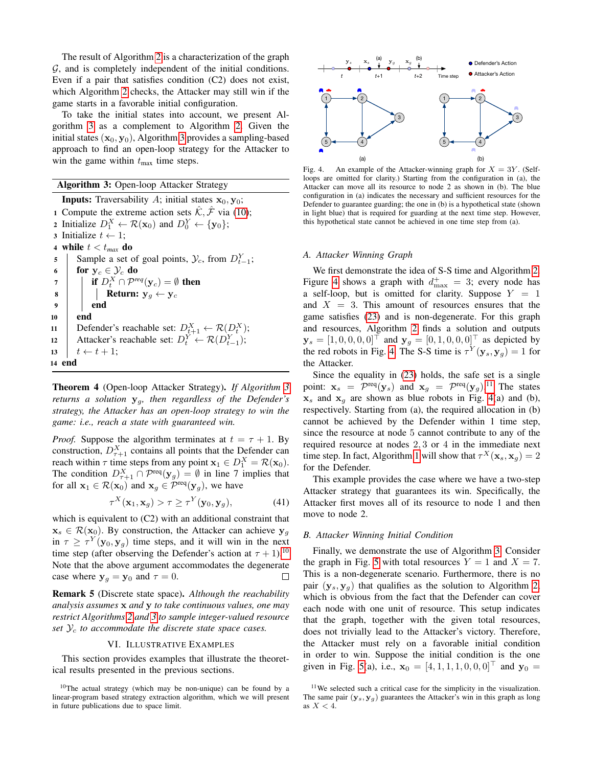The result of Algorithm [2](#page-5-1) is a characterization of the graph  $G$ , and is completely independent of the initial conditions. Even if a pair that satisfies condition (C2) does not exist, which Algorithm [2](#page-5-1) checks, the Attacker may still win if the game starts in a favorable initial configuration.

To take the initial states into account, we present Algorithm [3](#page-6-0) as a complement to Algorithm [2.](#page-5-1) Given the initial states  $(x_0, y_0)$ , Algorithm [3](#page-6-0) provides a sampling-based approach to find an open-loop strategy for the Attacker to win the game within  $t_{\text{max}}$  time steps.

## Algorithm 3: Open-loop Attacker Strategy

**Inputs:** Traversability A; initial states  $x_0$ ,  $y_0$ ; 1 Compute the extreme action sets  $\hat{\mathcal{K}}, \hat{\mathcal{F}}$  via [\(10\)](#page-2-0); 2 Initialize  $D_1^X \leftarrow \mathcal{R}(\mathbf{x}_0)$  and  $D_0^Y \leftarrow {\{y_0\}}$ ; 3 Initialize  $t \leftarrow 1$ ; 4 while  $t < t_{max}$  do 5 Sample a set of goal points,  $\mathcal{Y}_c$ , from  $D_{t-1}^Y$ ; 6 for  $y_c \in \mathcal{Y}_c$  do  $\tau$  | if  $D_t^X \cap \mathcal{P}^{req}(\mathbf{y}_c) = \emptyset$  then 8 | | Return:  $y_g \leftarrow y_c$ 9 end 10 end 11 Defender's reachable set:  $D_{t+1}^X \leftarrow \mathcal{R}(D_t^X);$ 12 Attacker's reachable set:  $D_t^Y \leftarrow \mathcal{R}(D_{t-1}^Y);$ 13  $t \leftarrow t + 1;$ 14 end

<span id="page-6-0"></span>Theorem 4 (Open-loop Attacker Strategy). *If Algorithm [3](#page-6-0) returns a solution* yg*, then regardless of the Defender's strategy, the Attacker has an open-loop strategy to win the game: i.e., reach a state with guaranteed win.*

*Proof.* Suppose the algorithm terminates at  $t = \tau + 1$ . By construction,  $D_{\tau+1}^X$  contains all points that the Defender can reach within  $\tau$  time steps from any point  $\mathbf{x}_1 \in D_1^X = \mathcal{R}(\mathbf{x}_0)$ . The condition  $D_{\tau+1}^X \cap \mathcal{P}^{\text{req}}(\mathbf{y}_g) = \emptyset$  in line 7 implies that for all  $\mathbf{x}_1 \in \mathcal{R}(\mathbf{x}_0)$  and  $\mathbf{x}_g \in \mathcal{P}^{\text{req}}(\mathbf{y}_g)$ , we have

$$
\tau^X(\mathbf{x}_1, \mathbf{x}_g) > \tau \ge \tau^Y(\mathbf{y}_0, \mathbf{y}_g),\tag{41}
$$

which is equivalent to  $(C2)$  with an additional constraint that  $x_s \in \mathcal{R}(x_0)$ . By construction, the Attacker can achieve  $y_q$ in  $\tau \geq \tau^{Y}(\mathbf{y}_0, \mathbf{y}_g)$  time steps, and it will win in the next time step (after observing the Defender's action at  $\tau + 1$ ).<sup>[10](#page-6-1)</sup> Note that the above argument accommodates the degenerate case where  $y_g = y_0$  and  $\tau = 0$ .  $\Box$ 

Remark 5 (Discrete state space). *Although the reachability analysis assumes* x *and* y *to take continuous values, one may restrict Algorithms [2](#page-5-1) and [3](#page-6-0) to sample integer-valued resource* set  $\mathcal{Y}_c$  to accommodate the discrete state space cases.

## VI. ILLUSTRATIVE EXAMPLES

This section provides examples that illustrate the theoretical results presented in the previous sections.

<span id="page-6-1"></span> $10$ The actual strategy (which may be non-unique) can be found by a linear-program based strategy extraction algorithm, which we will present in future publications due to space limit.



<span id="page-6-2"></span>Fig. 4. An example of the Attacker-winning graph for  $X = 3Y$ . (Selfloops are omitted for clarity.) Starting from the configuration in (a), the Attacker can move all its resource to node 2 as shown in (b). The blue configuration in (a) indicates the necessary and sufficient resources for the Defender to guarantee guarding; the one in (b) is a hypothetical state (shown in light blue) that is required for guarding at the next time step. However, this hypothetical state cannot be achieved in one time step from (a).

#### *A. Attacker Winning Graph*

We first demonstrate the idea of S-S time and Algorithm [2.](#page-5-1) Figure [4](#page-6-2) shows a graph with  $d_{\text{max}}^+ = 3$ ; every node has a self-loop, but is omitted for clarity. Suppose  $Y = 1$ and  $X = 3$ . This amount of resources ensures that the game satisfies [\(23\)](#page-4-6) and is non-degenerate. For this graph and resources, Algorithm [2](#page-5-1) finds a solution and outputs  $y_s = [1, 0, 0, 0, 0]^{\top}$  and  $y_g = [0, 1, 0, 0, 0]^{\top}$  as depicted by the red robots in Fig. [4.](#page-6-2) The S-S time is  $\tau^{Y}(\mathbf{y}_s, \mathbf{y}_g) = 1$  for the Attacker.

Since the equality in [\(23\)](#page-4-6) holds, the safe set is a single point:  $\mathbf{x}_s = \mathcal{P}^{\text{req}}(\mathbf{y}_s)$  and  $\mathbf{x}_g = \mathcal{P}^{\text{req}}(\mathbf{y}_g)$ .<sup>[11](#page-6-3)</sup> The states  $x_s$  and  $x_a$  are shown as blue robots in Fig. [4\(](#page-6-2)a) and (b), respectively. Starting from (a), the required allocation in (b) cannot be achieved by the Defender within 1 time step, since the resource at node 5 cannot contribute to any of the required resource at nodes 2, 3 or 4 in the immediate next time step. In fact, Algorithm [1](#page-5-5) will show that  $\tau^X(\mathbf{x}_s, \mathbf{x}_g) = 2$ for the Defender.

This example provides the case where we have a two-step Attacker strategy that guarantees its win. Specifically, the Attacker first moves all of its resource to node 1 and then move to node 2.

## *B. Attacker Winning Initial Condition*

Finally, we demonstrate the use of Algorithm [3.](#page-6-0) Consider the graph in Fig. [5](#page-7-0) with total resources  $Y = 1$  and  $X = 7$ . This is a non-degenerate scenario. Furthermore, there is no pair  $(y_s, y_a)$  that qualifies as the solution to Algorithm [2,](#page-5-1) which is obvious from the fact that the Defender can cover each node with one unit of resource. This setup indicates that the graph, together with the given total resources, does not trivially lead to the Attacker's victory. Therefore, the Attacker must rely on a favorable initial condition in order to win. Suppose the initial condition is the one given in Fig. [5\(](#page-7-0)a), i.e.,  $\mathbf{x}_0 = [4, 1, 1, 1, 0, 0, 0]$  and  $\mathbf{y}_0 =$ 

<span id="page-6-3"></span> $11$ We selected such a critical case for the simplicity in the visualization. The same pair  $(\mathbf{y}_s, \mathbf{y}_g)$  guarantees the Attacker's win in this graph as long as  $X < 4$ .